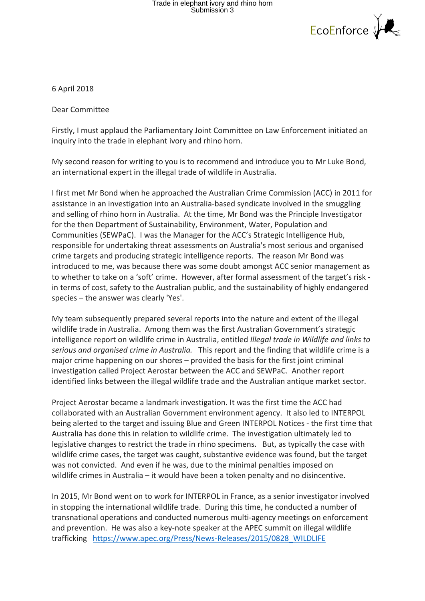## Trade in elephant ivory and rhino horn<br>Submission 3



6 April 2018 

Dear Committee

Firstly, I must applaud the Parliamentary Joint Committee on Law Enforcement initiated an inquiry into the trade in elephant ivory and rhino horn.

My second reason for writing to you is to recommend and introduce you to Mr Luke Bond. an international expert in the illegal trade of wildlife in Australia.

I first met Mr Bond when he approached the Australian Crime Commission (ACC) in 2011 for assistance in an investigation into an Australia-based syndicate involved in the smuggling and selling of rhino horn in Australia. At the time, Mr Bond was the Principle Investigator for the then Department of Sustainability, Environment, Water, Population and Communities (SEWPaC). I was the Manager for the ACC's Strategic Intelligence Hub, responsible for undertaking threat assessments on Australia's most serious and organised crime targets and producing strategic intelligence reports. The reason Mr Bond was introduced to me, was because there was some doubt amongst ACC senior management as to whether to take on a 'soft' crime. However, after formal assessment of the target's risk in terms of cost, safety to the Australian public, and the sustainability of highly endangered species  $-$  the answer was clearly 'Yes'.

My team subsequently prepared several reports into the nature and extent of the illegal wildlife trade in Australia. Among them was the first Australian Government's strategic intelligence report on wildlife crime in Australia, entitled *Illegal trade in Wildlife and links to serious and organised crime in Australia.* This report and the finding that wildlife crime is a major crime happening on our shores  $-$  provided the basis for the first joint criminal investigation called Project Aerostar between the ACC and SEWPaC. Another report identified links between the illegal wildlife trade and the Australian antique market sector.

Project Aerostar became a landmark investigation. It was the first time the ACC had collaborated with an Australian Government environment agency. It also led to INTERPOL being alerted to the target and issuing Blue and Green INTERPOL Notices - the first time that Australia has done this in relation to wildlife crime. The investigation ultimately led to legislative changes to restrict the trade in rhino specimens. But, as typically the case with wildlife crime cases, the target was caught, substantive evidence was found, but the target was not convicted. And even if he was, due to the minimal penalties imposed on wildlife crimes in Australia – it would have been a token penalty and no disincentive.

In 2015, Mr Bond went on to work for INTERPOL in France, as a senior investigator involved in stopping the international wildlife trade. During this time, he conducted a number of transnational operations and conducted numerous multi-agency meetings on enforcement and prevention. He was also a key-note speaker at the APEC summit on illegal wildlife trafficking https://www.apec.org/Press/News-Releases/2015/0828 WILDLIFE